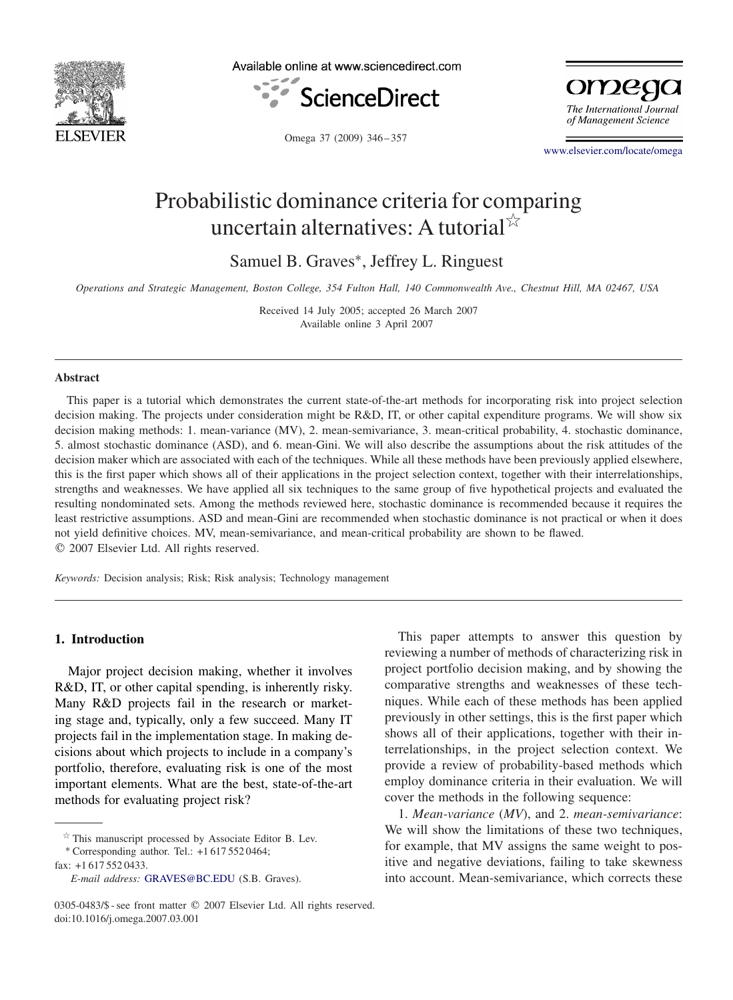

Available online at www.sciencedirect.com



omego The International Journal of Management Science

Omega 37 (2009) 346 – 357

[www.elsevier.com/locate/omega](http://www.elsevier.com/locate/omega)

## Probabilistic dominance criteria for comparing uncertain alternatives: A tutorial $\overrightarrow{A}$

Samuel B. Graves<sup>∗</sup>, Jeffrey L. Ringuest

*Operations and Strategic Management, Boston College, 354 Fulton Hall, 140 Commonwealth Ave., Chestnut Hill, MA 02467, USA*

Received 14 July 2005; accepted 26 March 2007 Available online 3 April 2007

#### **Abstract**

This paper is a tutorial which demonstrates the current state-of-the-art methods for incorporating risk into project selection decision making. The projects under consideration might be R&D, IT, or other capital expenditure programs. We will show six decision making methods: 1. mean-variance (MV), 2. mean-semivariance, 3. mean-critical probability, 4. stochastic dominance, 5. almost stochastic dominance (ASD), and 6. mean-Gini. We will also describe the assumptions about the risk attitudes of the decision maker which are associated with each of the techniques. While all these methods have been previously applied elsewhere, this is the first paper which shows all of their applications in the project selection context, together with their interrelationships, strengths and weaknesses. We have applied all six techniques to the same group of five hypothetical projects and evaluated the resulting nondominated sets. Among the methods reviewed here, stochastic dominance is recommended because it requires the least restrictive assumptions. ASD and mean-Gini are recommended when stochastic dominance is not practical or when it does not yield definitive choices. MV, mean-semivariance, and mean-critical probability are shown to be flawed. 2007 Elsevier Ltd. All rights reserved.

*Keywords:* Decision analysis; Risk; Risk analysis; Technology management

#### **1. Introduction**

Major project decision making, whether it involves R&D, IT, or other capital spending, is inherently risky. Many R&D projects fail in the research or marketing stage and, typically, only a few succeed. Many IT projects fail in the implementation stage. In making decisions about which projects to include in a company's portfolio, therefore, evaluating risk is one of the most important elements. What are the best, state-of-the-art methods for evaluating project risk?

 $*$  This manuscript processed by Associate Editor B. Lev.

fax: +1 617 552 0433.

This paper attempts to answer this question by reviewing a number of methods of characterizing risk in project portfolio decision making, and by showing the comparative strengths and weaknesses of these techniques. While each of these methods has been applied previously in other settings, this is the first paper which shows all of their applications, together with their interrelationships, in the project selection context. We provide a review of probability-based methods which employ dominance criteria in their evaluation. We will cover the methods in the following sequence:

1. *Mean-variance* (*MV*), and 2. *mean-semivariance*: We will show the limitations of these two techniques, for example, that MV assigns the same weight to positive and negative deviations, failing to take skewness into account. Mean-semivariance, which corrects these

<sup>∗</sup> Corresponding author. Tel.: +1 617 552 0464;

*E-mail address:* [GRAVES@BC.EDU](mailto:GRAVES@BC.EDU) (S.B. Graves).

<sup>0305-0483/\$ -</sup> see front matter © 2007 Elsevier Ltd. All rights reserved. doi:10.1016/j.omega.2007.03.001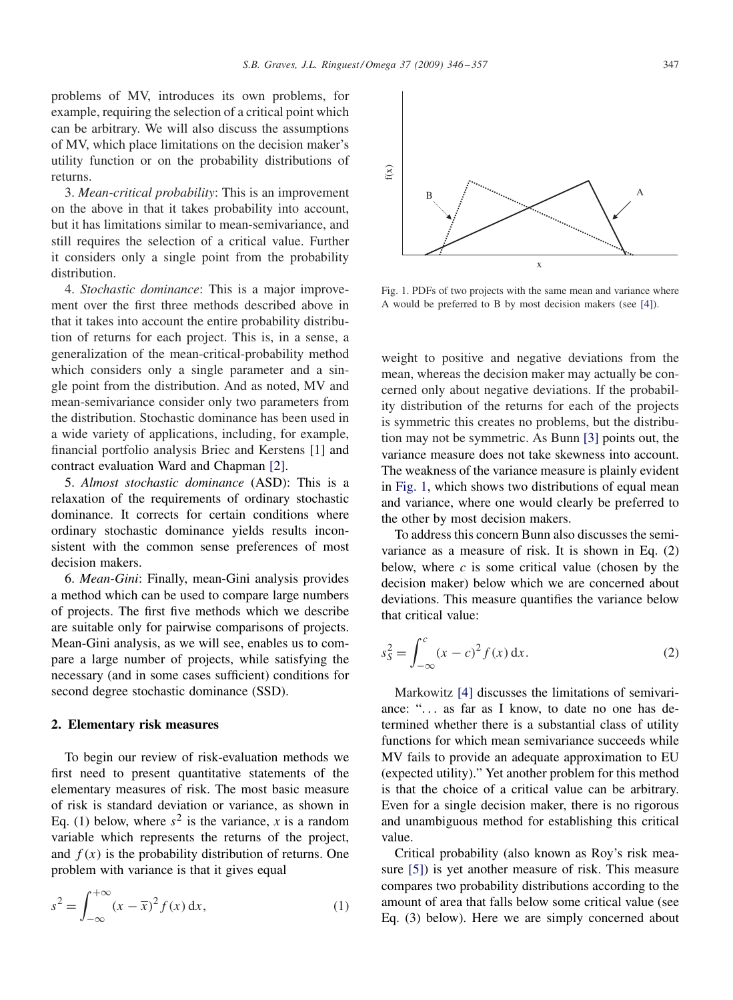problems of MV, introduces its own problems, for example, requiring the selection of a critical point which can be arbitrary. We will also discuss the assumptions of MV, which place limitations on the decision maker's utility function or on the probability distributions of returns.

3. *Mean-critical probability*: This is an improvement on the above in that it takes probability into account, but it has limitations similar to mean-semivariance, and still requires the selection of a critical value. Further it considers only a single point from the probability distribution.

4. *Stochastic dominance*: This is a major improvement over the first three methods described above in that it takes into account the entire probability distribution of returns for each project. This is, in a sense, a generalization of the mean-critical-probability method which considers only a single parameter and a single point from the distribution. And as noted, MV and mean-semivariance consider only two parameters from the distribution. Stochastic dominance has been used in a wide variety of applications, including, for example, financial portfolio analysis Briec and Kerstens [\[1\]](#page--1-0) and contract evaluation Ward and Chapman [\[2\].](#page--1-0)

5. *Almost stochastic dominance* (ASD): This is a relaxation of the requirements of ordinary stochastic dominance. It corrects for certain conditions where ordinary stochastic dominance yields results inconsistent with the common sense preferences of most decision makers.

6. *Mean-Gini*: Finally, mean-Gini analysis provides a method which can be used to compare large numbers of projects. The first five methods which we describe are suitable only for pairwise comparisons of projects. Mean-Gini analysis, as we will see, enables us to compare a large number of projects, while satisfying the necessary (and in some cases sufficient) conditions for second degree stochastic dominance (SSD).

### **2. Elementary risk measures**

To begin our review of risk-evaluation methods we first need to present quantitative statements of the elementary measures of risk. The most basic measure of risk is standard deviation or variance, as shown in Eq. (1) below, where  $s^2$  is the variance, *x* is a random variable which represents the returns of the project, and  $f(x)$  is the probability distribution of returns. One problem with variance is that it gives equal

$$
s^{2} = \int_{-\infty}^{+\infty} (x - \overline{x})^{2} f(x) dx,
$$
 (1)



Fig. 1. PDFs of two projects with the same mean and variance where A would be preferred to B by most decision makers (see [\[4\]\)](#page--1-0).

weight to positive and negative deviations from the mean, whereas the decision maker may actually be concerned only about negative deviations. If the probability distribution of the returns for each of the projects is symmetric this creates no problems, but the distribution may not be symmetric. As Bunn [\[3\]](#page--1-0) points out, the variance measure does not take skewness into account. The weakness of the variance measure is plainly evident in Fig. 1, which shows two distributions of equal mean and variance, where one would clearly be preferred to the other by most decision makers.

To address this concern Bunn also discusses the semivariance as a measure of risk. It is shown in Eq. (2) below, where  $c$  is some critical value (chosen by the decision maker) below which we are concerned about deviations. This measure quantifies the variance below that critical value:

$$
s_S^2 = \int_{-\infty}^c (x - c)^2 f(x) \, dx. \tag{2}
$$

Markowitz [\[4\]](#page--1-0) discusses the limitations of semivariance: "... as far as I know, to date no one has determined whether there is a substantial class of utility functions for which mean semivariance succeeds while MV fails to provide an adequate approximation to EU (expected utility)." Yet another problem for this method is that the choice of a critical value can be arbitrary. Even for a single decision maker, there is no rigorous and unambiguous method for establishing this critical value.

Critical probability (also known as Roy's risk measure [\[5\]\)](#page--1-0) is yet another measure of risk. This measure compares two probability distributions according to the amount of area that falls below some critical value (see Eq. (3) below). Here we are simply concerned about